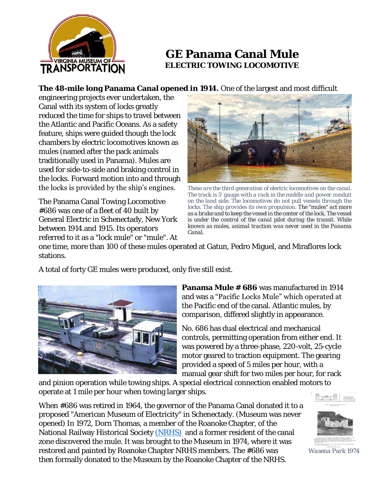

## **GE Panama Canal Mule ELECTRIC TOWING LOCOMOTIVE**

**The 48-mile long Panama Canal opened in 1914.** One of the largest and most difficult

engineering projects ever undertaken, the Canal with its system of locks greatly reduced the time for ships to travel between the Atlantic and Pacific Oceans. As a safety feature, ships were guided though the lock chambers by electric locomotives known as mules (named after the pack animals traditionally used in Panama). Mules are used for side-to-side and braking control in the locks. Forward motion into and through the locks is provided by the ship's engines.

The Panama Canal Towing Locomotive #686 was one of a fleet of 40 built by General Electric in Schenectady, New York between 1914.and 1915. Its operators referred to it as a "lock mule" or "mule". At



*These are the third generation of electric locomotives on the canal. The track is 5' gauge with a rack in the middle and power conduit on the land side. The locomotives do not pull vessels through the*  locks. The ship provides its own propulsion. The "mules" act more *as a brake and to keep the vessel in the center of the lock. The vessel is under the control of the canal pilot during the transit. While known as mules, animal traction was never used in the Panama Canal.*

one time, more than 100 of these mules operated at Gatun, Pedro Miguel, and Miraflores lock stations.

A total of forty GE mules were produced, only five still exist.



**Panama Mule # 686** was manufactured in 1914 and was a "Pacific Locks Mule" which operated at the Pacific end of the canal. Atlantic mules, by comparison, differed slightly in appearance.

No. 686 has dual electrical and mechanical controls, permitting operation from either end. It was powered by a three-phase, 220-volt, 25-cycle motor geared to traction equipment. The gearing provided a speed of 5 miles per hour, with a manual gear shift for two miles per hour, for rack

and pinion operation while towing ships. A special electrical connection enabled motors to operate at 1 mile per hour when towing larger ships.

When #686 was retired in 1964, the governor of the Panama Canal donated it to a proposed "American Museum of Electricity" in Schenectady. (Museum was never opened) In 1972, Dorn Thomas, a member of the Roanoke Chapter, of the National Railway Historical Society [\(NRHS\)](http://www.roanokenrhs.org/) and a former resident of the canal zone discovered the mule. It was brought to the Museum in 1974, where it was restored and painted by Roanoke Chapter NRHS members. The #686 was then formally donated to the Museum by the Roanoke Chapter of the NRHS.

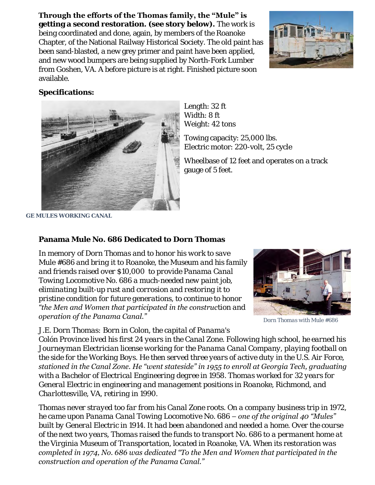## **Through the efforts of the Thomas family, the "Mule" is**

**getting a second restoration. (see story below).** The work is being coordinated and done, again, by members of the Roanoke Chapter, of the National Railway Historical Society. The old paint has been sand-blasted, a new grey primer and paint have been applied, and new wood bumpers are being supplied by North-Fork Lumber from Goshen, VA. A before picture is at right. Finished picture soon available.



**Specifications:**



Length: 32 ft Width: 8 ft Weight: 42 tons

Towing capacity: 25,000 lbs. Electric motor: 220-volt, 25 cycle

Wheelbase of 12 feet and operates on a track gauge of 5 feet.

*GE MULES WORKING CANAL*

**Panama Mule No. 686 Dedicated to Dorn Thomas**

*In memory of Dorn Thomas and to honor his work to save Mule #686 and bring it to Roanoke, the Museum and his family and friends raised over \$10,000 to provide Panama Canal Towing Locomotive No. 686 a much-needed new paint job, eliminating built-up rust and corrosion and restoring it to pristine condition for future generations, to continue to honor "the Men and Women that participated in the construction and operation of the Panama Canal."*



*Dorn Thomas with Mule #686*

*J.E. Dorn Thomas: Born in Colon, the capital of Panama's* 

*Colón Province lived his first 24 years in the Canal Zone. Following high school, he earned his Journeyman Electrician license working for the Panama Canal Company, playing football on the side for the Working Boys. He then served three years of active duty in the U.S. Air Force, stationed in the Canal Zone. He "went stateside" in 1955 to enroll at Georgia Tech, graduating with a Bachelor of Electrical Engineering degree in 1958. Thomas worked for 32 years for General Electric in engineering and management positions in Roanoke, Richmond, and Charlottesville, VA, retiring in 1990.*

*Thomas never strayed too far from his Canal Zone roots. On a company business trip in 1972, he came upon Panama Canal Towing Locomotive No. 686 – one of the original 40 "Mules" built by General Electric in 1914. It had been abandoned and needed a home. Over the course of the next two years, Thomas raised the funds to transport No. 686 to a permanent home at the Virginia Museum of Transportation, located in Roanoke, VA. When its restoration was completed in 1974, No. 686 was dedicated "To the Men and Women that participated in the construction and operation of the Panama Canal."*